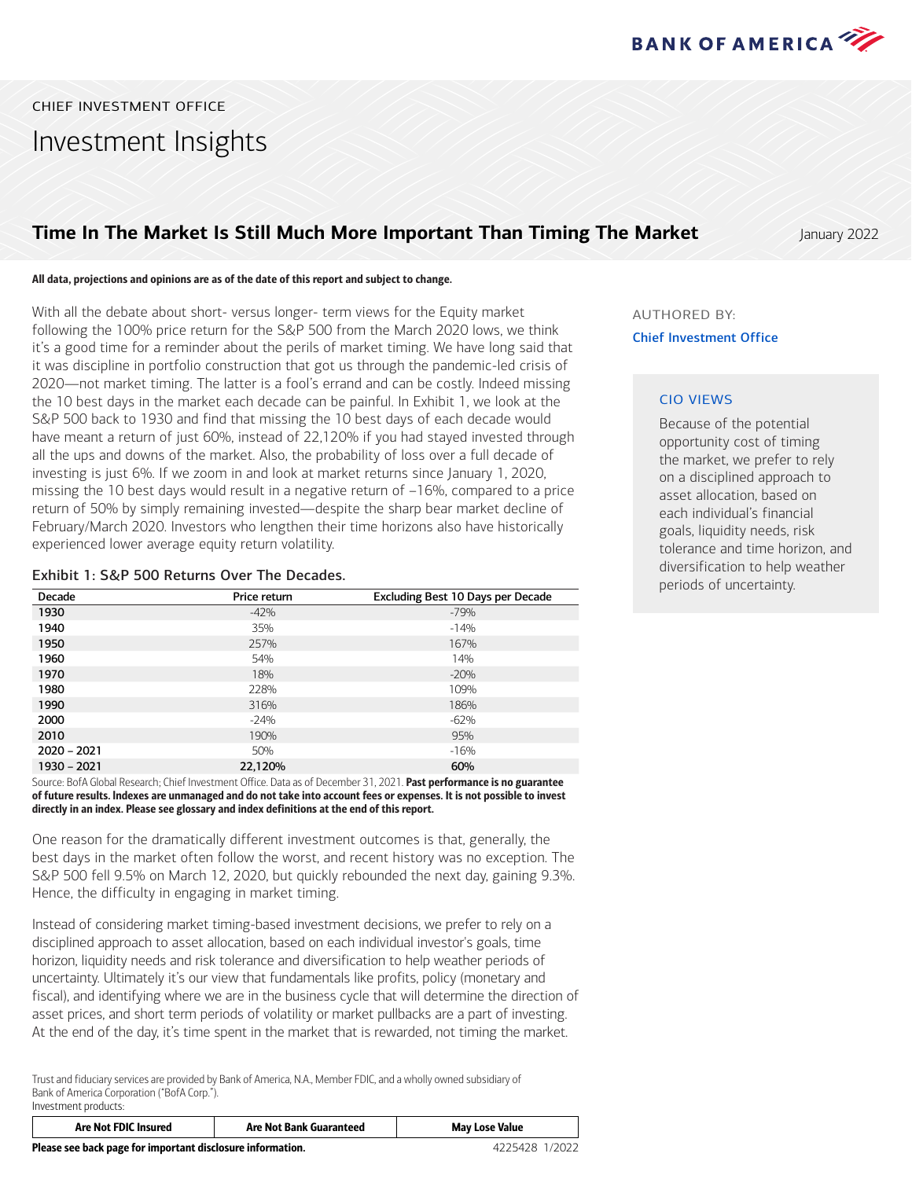

CHIEF INVESTMENT OFFICE Investment Insights

### **Time In The Market Is Still Much More Important Than Timing The Market State of All Anuary 2022**

### All data, projections and opinions are as of the date of this report and subject to change.

With all the debate about short- versus longer- term views for the Equity market following the 100% price return for the S&P 500 from the March 2020 lows, we think it's a good time for a reminder about the perils of market timing. We have long said that it was discipline in portfolio construction that got us through the pandemic-led crisis of 2020―not market timing. The latter is a fool's errand and can be costly. Indeed missing the 10 best days in the market each decade can be painful. In Exhibit 1, we look at the S&P 500 back to 1930 and find that missing the 10 best days of each decade would have meant a return of just 60%, instead of 22,120% if you had stayed invested through all the ups and downs of the market. Also, the probability of loss over a full decade of investing is just 6%. If we zoom in and look at market returns since January 1, 2020, missing the 10 best days would result in a negative return of –16%, compared to a price return of 50% by simply remaining invested―despite the sharp bear market decline of February/March 2020. Investors who lengthen their time horizons also have historically experienced lower average equity return volatility.

### Exhibit 1: S&P 500 Returns Over The Decades.

| Decade        | Price return | Excluding Best 10 Days per Decade |
|---------------|--------------|-----------------------------------|
| 1930          | $-42%$       | $-79%$                            |
| 1940          | 35%          | $-14%$                            |
| 1950          | 257%         | 167%                              |
| 1960          | 54%          | 14%                               |
| 1970          | 18%          | $-20%$                            |
| 1980          | 228%         | 109%                              |
| 1990          | 316%         | 186%                              |
| 2000          | $-24%$       | $-62%$                            |
| 2010          | 190%         | 95%                               |
| $2020 - 2021$ | 50%          | $-16%$                            |
| 1930 - 2021   | 22,120%      | 60%                               |

Source: BofA Global Research; Chief Investment Office. Data as of December 31, 2021. Past performance is no guarantee of future results. lndexes are unmanaged and do not take into account fees or expenses. It is not possible to invest directly in an index. Please see glossary and index definitions at the end of this report.

One reason for the dramatically different investment outcomes is that, generally, the best days in the market often follow the worst, and recent history was no exception. The S&P 500 fell 9.5% on March 12, 2020, but quickly rebounded the next day, gaining 9.3%. Hence, the difficulty in engaging in market timing.

Instead of considering market timing-based investment decisions, we prefer to rely on a disciplined approach to asset allocation, based on each individual investor's goals, time horizon, liquidity needs and risk tolerance and diversification to help weather periods of uncertainty. Ultimately it's our view that fundamentals like profits, policy (monetary and fiscal), and identifying where we are in the business cycle that will determine the direction of asset prices, and short term periods of volatility or market pullbacks are a part of investing. At the end of the day, it's time spent in the market that is rewarded, not timing the market.

Trust and fiduciary services are provided by Bank of America, N.A., Member FDIC, and a wholly owned subsidiary of Bank of America Corporation ("BofA Corp."). Investment products:

| <b>Are Not FDIC Insured</b>                                | <b>Are Not Bank Guaranteed</b> | <b>May Lose Value</b> |
|------------------------------------------------------------|--------------------------------|-----------------------|
| Please see back page for important disclosure information. | 4225428 1/2022                 |                       |

AUTHORED BY: Chief Investment Office

### CIO VIEWS

Because of the potential opportunity cost of timing the market, we prefer to rely on a disciplined approach to asset allocation, based on each individual's financial goals, liquidity needs, risk tolerance and time horizon, and diversification to help weather periods of uncertainty.